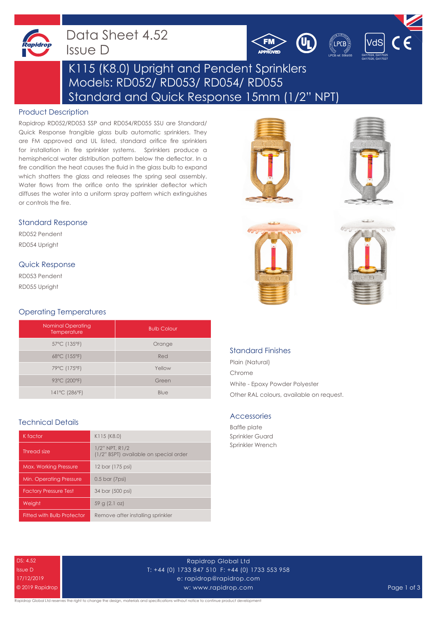

## Data Sheet 4.52 Issue D





# K115 (K8.0) Upright and Pendent Sprinklers Models: RD052/ RD053/ RD054/ RD055 Standard and Quick Response 15mm (1/2" NPT)

### Product Description

Rapidrop RD052/RD053 SSP and RD054/RD055 SSU are Standard/ Quick Response frangible glass bulb automatic sprinklers. They are FM approved and UL listed, standard orifice fire sprinklers for installation in fire sprinkler systems. Sprinklers produce a hemispherical water distribution pattern below the deflector. In a fire condition the heat causes the fluid in the glass bulb to expand which shatters the glass and releases the spring seal assembly. Water flows from the orifice onto the sprinkler deflector which diffuses the water into a uniform spray pattern which extinguishes or controls the fire.

#### Standard Response

RD052 Pendent RD054 Upright

#### Quick Response

RD053 Pendent RD055 Upright

#### Operating Temperatures

| <b>Nominal Operating</b><br>Temperature | <b>Bulb Colour</b> |
|-----------------------------------------|--------------------|
| 57°C (135°F)                            | Orange             |
| 68°C (155°F)                            | Red                |
| 79°C (175°F)                            | Yellow             |
| 93°C (200°F)                            | Green              |
| 141°C (286°F)                           | Blue               |

#### Technical Details

| K factor                          | K115 (K8.0)                                                    |
|-----------------------------------|----------------------------------------------------------------|
| Thread size                       | $1/2$ " NPT, R $1/2$<br>(1/2" BSPT) available on special order |
| <b>Max. Working Pressure</b>      | 12 bar (175 psi)                                               |
| Min. Operating Pressure           | 0.5 bar (7psi)                                                 |
| <b>Factory Pressure Test</b>      | 34 bar (500 psi)                                               |
| Weight                            | 59 g (2.1 oz)                                                  |
| <b>Fitted with Bulb Protector</b> | Remove after installing sprinkler                              |









## Standard Finishes

Plain (Natural) Chrome White - Epoxy Powder Polyester Other RAL colours, available on request.

#### Accessories

Baffle plate Sprinkler Guard Sprinkler Wrench

DS: 4.52 Issue D 17/12/2019 © 2019 Rapidrop

Rapidrop Global Ltd T: +44 (0) 1733 847 510 F: +44 (0) 1733 553 958 e: rapidrop@rapidrop.com w: www.rapidrop.com Page 1 of 3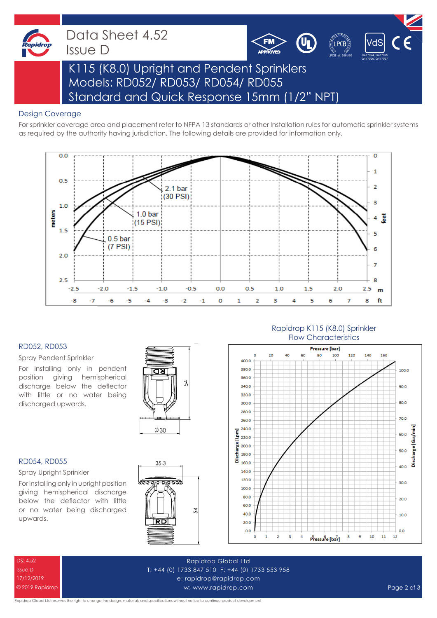

Data Sheet 4.52 Issue D



# K115 (K8.0) Upright and Pendent Sprinklers Models: RD052/ RD053/ RD054/ RD055 Standard and Quick Response 15mm (1/2" NPT)

### Design Coverage

For sprinkler coverage area and placement refer to NFPA 13 standards or other Installation rules for automatic sprinkler systems as required by the authority having jurisdiction. The following details are provided for information only.

FM



#### RD052, RD053

Spray Pendent Sprinkler

For installing only in pendent position giving hemispherical discharge below the deflector with little or no water being discharged upwards.



#### RD054, RD055

Spray Upright Sprinkler

For installing only in upright position giving hemispherical discharge below the deflector with little or no water being discharged upwards.



## Rapidrop K115 (K8.0) Sprinkler Flow Characteristics



DS: 4.52 Issue D 17/12/2019 © 2019 Rapidrop

Rapidrop Global Ltd T: +44 (0) 1733 847 510 F: +44 (0) 1733 553 958 e: rapidrop@rapidrop.com w: www.rapidrop.com Page 2 of 3

apidrop Global Ltd reserves the right to change the design, materials and specifications without notice to continue product development